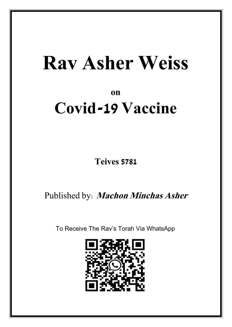# **Rav Asher Weiss**

## **on**

## **Covid-19 Vaccine**

**Teives 5781**

Published by: **Machon Minchas Asher**

To Receive The Rav's Torah Via WhatsApp

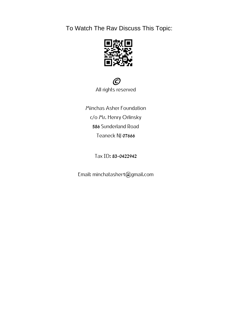To Watch The Rav Discuss This Topic:





**Minchas Asher Foundation** c/o Mr. Henry Orlinsky 586 Sunderland Road Teaneck NJ 07666

**Tax ID:**83-0422942

**Email:** minchatasher1@gmail.com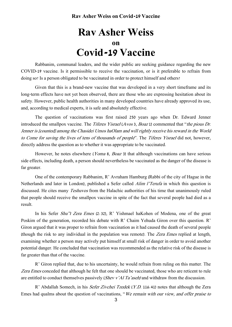## **Rav Asher Weiss on Covid-19 Vaccine**

Rabbanim, communal leaders, and the wider public are seeking guidance regarding the new COVID-19 vaccine. Is it permissible to receive the vaccination, or is it preferable to refrain from doing so? Is a person obligated to be vaccinated in order to protect himself and others?

Given that this is a brand-new vaccine that was developed in a very short timeframe and its long-term effects have not yet been observed, there are those who are expressing hesitation about its safety. However, public health authorities in many developed countries have already approved its use, and, according to medical experts, it is safe and absolutely effective.

The question of vaccinations was first raised 250 years ago when Dr. Edward Jenner introduced the smallpox vaccine. The Tiferes Yisrael (Avos 3, Boaz 1) commented that "the pious Dr. Jenner is [counted] among the Chasidei Umos haOlam and will rightly receive his reward in the World to Come for saving the lives of tens of thousands of people". The Tiferes Yisrael did not, however, directly address the question as to whether it was appropriate to be vaccinated.

However, he notes elsewhere (*Yoma* 8, *Boaz* 3) that although vaccinations can have serious side effects, including death, a person should nevertheless be vaccinated as the danger of the disease is far greater.

One of the contemporary Rabbanim, R' Avraham Hamburg (Rabbi of the city of Hague in the Netherlands and later in London), published a Sefer called Alim l'Terufa in which this question is discussed. He cites many Teshuvos from the Halachic authorities of his time that unanimously ruled that people should receive the smallpox vaccine in spite of the fact that several people had died as a result.

In his Sefer Shu"t Zera Emes (2:32), R' Yishmael haKohen of Modena, one of the great Poskim of the generation, recorded his debate with R' Chaim Yehuda Giron over this question. R' Giron argued that it was proper to refrain from vaccination as it had caused the death of several people (though the risk to any individual in the population was remote). The Zera Emes replied at length, examining whether a person may actively put himself at small risk of danger in order to avoid another potential danger. He concluded that vaccination was recommended as the relative risk of the disease is far greater than that of the vaccine.

R' Giron replied that, due to his uncertainty, he would refrain from ruling on this matter. The Zera Emes conceded that although he felt that one should be vaccinated, those who are reticent to rule are entitled to conduct themselves passively (Shev v'Al Ta'aseh) and withdraw from the discussion.

R' Abdallah Somech, in his *Sefer Zivchei Tzedek* (*Y.D.* 116:41) notes that although the Zera Emes had qualms about the question of vaccinations, "We remain with our view, and offer praise to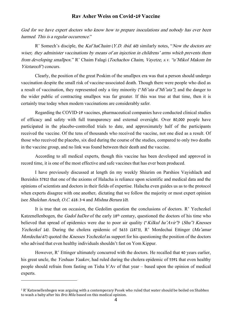### **Rav Asher Weiss on Covid-19 Vaccine**

God for we have expert doctors who know how to prepare inoculations and nobody has ever been harmed. This is a regular occurrence."

R' Somech's disciple, the Kaf haChaim (Y.D. ibid. 60) similarly notes, "Now the doctors are wiser; they administer vaccinations by means of an injection in childrens' arms which prevents them from developing smallpox." R' Chaim Falagi (Tochachos Chaim, Vayetze, s.v. "u'Mikol Makom Im Yitztarech") concurs.

Clearly, the position of the great Poskim of the smallpox era was that a person should undergo vaccination despite the small risk of vaccine-associated death. Though there were people who died as a result of vaccination, they represented only a tiny minority ("Mi'uta d'Mi'uta"), and the danger to the wider public of contracting smallpox was far greater. If this was true at that time, then it is certainly true today when modern vaccinations are considerably safer.

Regarding the COVID-19 vaccines, pharmaceutical companies have conducted clinical studies of efficacy and safety with full transparency and external oversight. Over 80,000 people have participated in the placebo-controlled trials to date, and approximately half of the participants received the vaccine. Of the tens of thousands who received the vaccine, not one died as a result. Of those who received the placebo, six died during the course of the studies, compared to only two deaths in the vaccine group, and no link was found between their death and the vaccine.

According to all medical experts, though this vaccine has been developed and approved in record time, it is one of the most effective and safe vaccines that has ever been produced.

I have previously discussed at length (in my weekly Shiurim on Parshios Vayishlach and Bereishis 5781) that one of the axioms of Halacha is reliance upon scientific and medical data and the opinions of scientists and doctors in their fields of expertise. Halacha even guides us as to the protocol when experts disagree with one another; dictating that we follow the majority or most expert opinion (see Shulchan Aruch, O.C. 618:3-4 and Mishna Berura 10).

It is true that on occasion, the Gedolim question the conclusions of doctors. R' Yechezkel Katzenellenbogen, the *Gadol haDor* of the early 18<sup>th</sup> century, questioned the doctors of his time who believed that spread of epidemics were due to poor air quality ("Kilkul ha'Avir')<sup>1</sup> (Shu''t Knesses Yechezkel 16). During the cholera epidemic of 5633 (1873), R' Mordechai Ettinger (Ma'amar Mordechai 67) quoted the Knesses Yechezkel as support for his questioning the position of the doctors who advised that even healthy individuals shouldn't fast on Yom Kippur.

However, R' Ettinger ultimately concurred with the doctors. He recalled that 40 years earlier, his great uncle, the *Yeshuas Yaakov*, had ruled during the cholera epidemic of 5591 that even healthy people should refrain from fasting on Tisha b'Av of that year – based upon the opinion of medical experts.

<sup>1</sup> R' Katzenellenbogen was arguing with a contemporary Posek who ruled that water should be boiled on Shabbos to wash a baby after his *Bris Mila* based on this medical opinion.